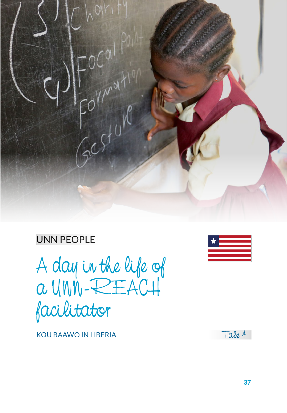

# UNN PEOPLE

A day in the life of a UNN-REACH facilitator



KOU BAAWO IN LIBERIA

Tale 4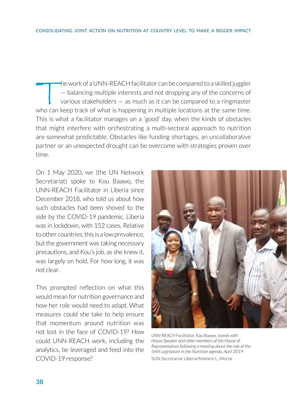the work of a UNN-REACH facilitator can be compared to a skilled juggler — balancing multiple interests and not dropping any of the concerns of various stakeholders — as much as it can be compared to a ringmaster who can keep track of what is happening in multiple locations at the same time. This is what a facilitator manages on a 'good' day, when the kinds of obstacles that might interfere with orchestrating a multi-sectoral approach to nutrition are somewhat predictable. Obstacles like funding shortages, an uncollaborative partner or an unexpected drought can be overcome with strategies proven over time.

On 1 May 2020, we (the UN Network Secretariat) spoke to Kou Baawo, the UNN-REACH Facilitator in Liberia since December 2018, who told us about how such obstacles had been shoved to the side by the COVID-19 pandemic. Liberia was in lockdown, with 152 cases. Relative to other countries, this is a low prevalence, but the government was taking necessary precautions, and Kou's job, as she knew it, was largely on hold. For how long, it was not clear.

This prompted reflection on what this would mean for nutrition governance and how her role would need to adapt. What measures could she take to help ensure that momentum around nutrition was not lost in the face of COVID-19? How could UNN-REACH work, including the analytics, be leveraged and feed into the COVID-19 response?



*UNN-REACH Facilitator, Kou Baawo, stands with House Speaker and other members of the House of Representatives following a meeting about the role of the 54th Legislature in the Nutrition agenda, April 2019* SUN Secretariat Liberia/Mameni L. Morlai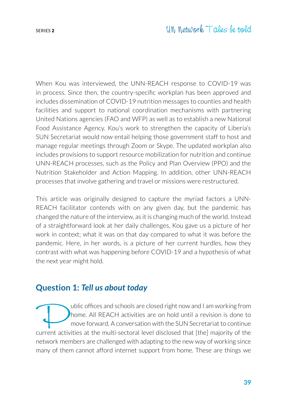When Kou was interviewed, the UNN-REACH response to COVID-19 was in process. Since then, the country-specific workplan has been approved and includes dissemination of COVID-19 nutrition messages to counties and health facilities and support to national coordination mechanisms with partnering United Nations agencies (FAO and WFP) as well as to establish a new National Food Assistance Agency. Kou's work to strengthen the capacity of Liberia's SUN Secretariat would now entail helping those government staff to host and manage regular meetings through Zoom or Skype. The updated workplan also includes provisions to support resource mobilization for nutrition and continue UNN-REACH processes, such as the [Policy and Plan Overview](https://www.unnetworkforsun.org/tools/policy-plan-overview) (PPO) and the [Nutrition Stakeholder and Action Mapping](https://www.unnetworkforsun.org/tools/nutrition-stakeholder-action-mapping). In addition, other UNN-REACH processes that involve gathering and travel or missions were restructured.

This article was originally designed to capture the myriad factors a UNN-REACH facilitator contends with on any given day, but the pandemic has changed the nature of the interview, as it is changing much of the world. Instead of a straightforward look at her daily challenges, Kou gave us a picture of her work in context; what it was on that day compared to what it was before the pandemic. Here, in her words, is a picture of her current hurdles, how they contrast with what was happening before COVID-19 and a hypothesis of what the next year might hold.

#### **Question 1:** *Tell us about today*

whic offices and schools are closed right now and I am working from<br>home. All REACH activities are on hold until a revision is done to<br>move forward. A conversation with the SUN Secretariat to continue<br>urrent activities at home. All REACH activities are on hold until a revision is done to move forward. A conversation with the SUN Secretariat to continue current activities at the multi-sectoral level disclosed that [the] majority of the network members are challenged with adapting to the new way of working since many of them cannot afford internet support from home. These are things we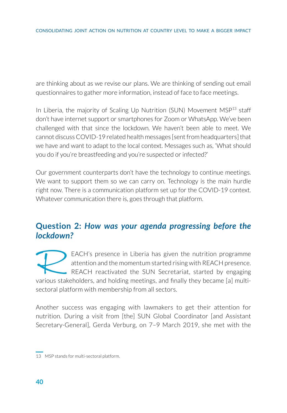are thinking about as we revise our plans. We are thinking of sending out email questionnaires to gather more information, instead of face to face meetings.

In Liberia, the majority of Scaling Up Nutrition (SUN) Movement  $MSP<sup>13</sup>$  staff don't have internet support or smartphones for Zoom or WhatsApp. We've been challenged with that since the lockdown. We haven't been able to meet. We cannot discuss COVID-19 related health messages [sent from headquarters] that we have and want to adapt to the local context. Messages such as, 'What should you do if you're breastfeeding and you're suspected or infected?'

Our government counterparts don't have the technology to continue meetings. We want to support them so we can carry on. Technology is the main hurdle right now. There is a communication platform set up for the COVID-19 context. Whatever communication there is, goes through that platform.

### **Question 2:** *How was your agenda progressing before the lockdown?*

EACH's presence in Liberia has given the nutrition programme attention and the momentum started rising with REACH presence. REACH reactivated the SUN Secretariat, started by engaging various stakeholders, and holding meetings, and finally they became [a] multisectoral platform with membership from all sectors.

Another success was engaging with lawmakers to get their attention for nutrition. During a visit from [the] SUN Global Coordinator [and Assistant Secretary-General], Gerda Verburg, on 7–9 March 2019, she met with the

<sup>13</sup> MSP stands for multi-sectoral platform.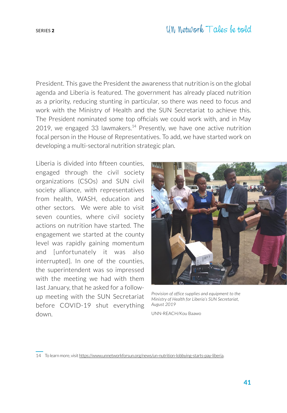## SERIES <sup>2</sup> UN Network Tales be told

President. This gave the President the awareness that nutrition is on the global agenda and Liberia is featured. The government has already placed nutrition as a priority, reducing stunting in particular, so there was need to focus and work with the Ministry of Health and the SUN Secretariat to achieve this. The President nominated some top officials we could work with, and in May 2019, [we engaged 33 lawmakers](https://www.unnetworkforsun.org/news/un-nutrition-lobbying-starts-pay-liberia). 14 Presently, we have one active nutrition focal person in the House of Representatives. To add, we have started work on developing a multi-sectoral nutrition strategic plan.

Liberia is divided into fifteen counties, engaged through the civil society organizations (CSOs) and SUN civil society alliance, with representatives from health, WASH, education and other sectors. We were able to visit seven counties, where civil society actions on nutrition have started. The engagement we started at the county level was rapidly gaining momentum and [unfortunately it was also interrupted]. In one of the counties, the superintendent was so impressed with the meeting we had with them last January, that he asked for a followup meeting with the SUN Secretariat before COVID-19 shut everything down.



*Provision of office supplies and equipment to the Ministry of Health for Liberia's SUN Secretariat, August 2019*

UNN-REACH/Kou Baawo

14 To learn more, visit https://www.unnetworkforsun.org/news/un-nutrition-lobbying-starts-pay-liberia.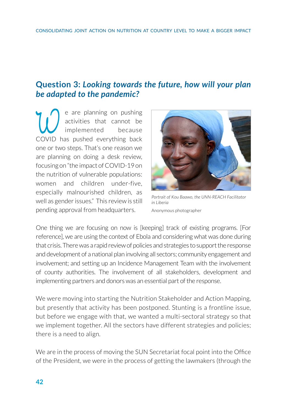### **Question 3:** *Looking towards the future, how will your plan be adapted to the pandemic?*

e are planning on pushing<br>activities that cannot be<br>covin has pushed everything back activities that cannot be implemented because COVID has pushed everything back one or two steps. That's one reason we are planning on doing a desk review, focusing on "the impact of COVID-19 on the nutrition of vulnerable populations: women and children under-five, especially malnourished children, as well as gender issues." This review is still pending approval from headquarters.



*Portrait of Kou Baawo, the UNN-REACH Facilitator in Liberia* Anonymous photographer

One thing we are focusing on now is [keeping] track of existing programs. [For reference], we are using the context of Ebola and considering what was done during that crisis. There was a rapid review of policies and strategies to support the response and development of a national plan involving all sectors; community engagement and involvement; and setting up an Incidence Management Team with the involvement of county authorities. The involvement of all stakeholders, development and implementing partners and donors was an essential part of the response.

We were moving into starting the Nutrition Stakeholder and Action Mapping, but presently that activity has been postponed. Stunting is a frontline issue, but before we engage with that, we wanted a multi-sectoral strategy so that we implement together. All the sectors have different strategies and policies; there is a need to align.

We are in the process of moving the SUN Secretariat focal point into the Office of the President, we were in the process of getting the lawmakers (through the